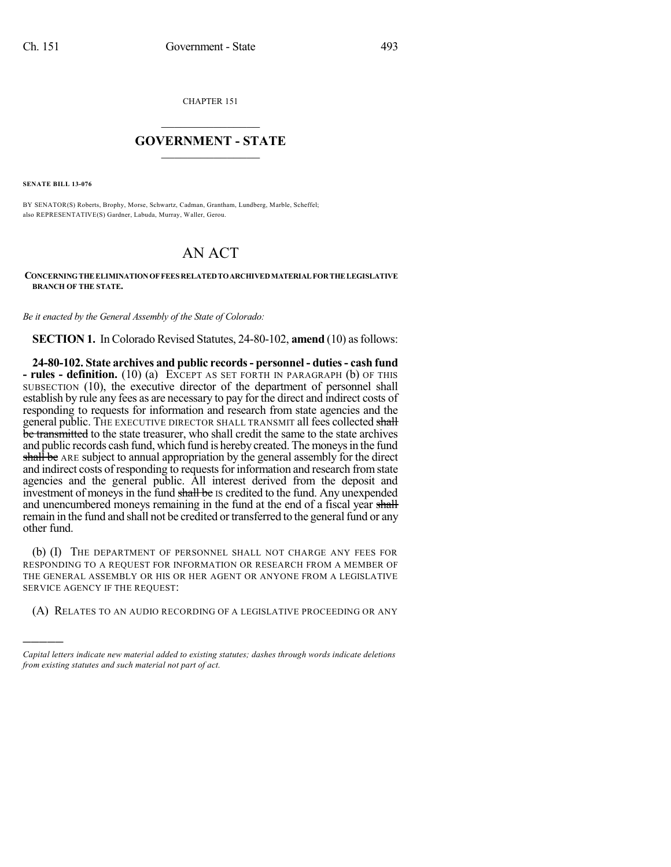CHAPTER 151

## $\mathcal{L}_\text{max}$  . The set of the set of the set of the set of the set of the set of the set of the set of the set of the set of the set of the set of the set of the set of the set of the set of the set of the set of the set **GOVERNMENT - STATE**  $\_$   $\_$   $\_$   $\_$   $\_$   $\_$   $\_$   $\_$   $\_$

**SENATE BILL 13-076**

)))))

BY SENATOR(S) Roberts, Brophy, Morse, Schwartz, Cadman, Grantham, Lundberg, Marble, Scheffel; also REPRESENTATIVE(S) Gardner, Labuda, Murray, Waller, Gerou.

## AN ACT

## **CONCERNINGTHE ELIMINATIONOF FEESRELATEDTOARCHIVEDMATERIAL FORTHE LEGISLATIVE BRANCH OF THE STATE.**

*Be it enacted by the General Assembly of the State of Colorado:*

**SECTION 1.** In Colorado Revised Statutes, 24-80-102, **amend** (10) as follows:

**24-80-102. State archives and public records- personnel - duties- cash fund - rules - definition.** (10) (a) EXCEPT AS SET FORTH IN PARAGRAPH (b) OF THIS SUBSECTION (10), the executive director of the department of personnel shall establish by rule any fees as are necessary to pay for the direct and indirect costs of responding to requests for information and research from state agencies and the general public. THE EXECUTIVE DIRECTOR SHALL TRANSMIT all fees collected shall be transmitted to the state treasurer, who shall credit the same to the state archives and public records cash fund, which fund is hereby created. The moneys in the fund shall be ARE subject to annual appropriation by the general assembly for the direct and indirect costs of responding to requests for information and research from state agencies and the general public. All interest derived from the deposit and investment of moneys in the fund shall be IS credited to the fund. Any unexpended and unencumbered moneys remaining in the fund at the end of a fiscal year shall remain in the fund and shall not be credited or transferred to the general fund or any other fund.

(b) (I) THE DEPARTMENT OF PERSONNEL SHALL NOT CHARGE ANY FEES FOR RESPONDING TO A REQUEST FOR INFORMATION OR RESEARCH FROM A MEMBER OF THE GENERAL ASSEMBLY OR HIS OR HER AGENT OR ANYONE FROM A LEGISLATIVE SERVICE AGENCY IF THE REQUEST:

(A) RELATES TO AN AUDIO RECORDING OF A LEGISLATIVE PROCEEDING OR ANY

*Capital letters indicate new material added to existing statutes; dashes through words indicate deletions from existing statutes and such material not part of act.*